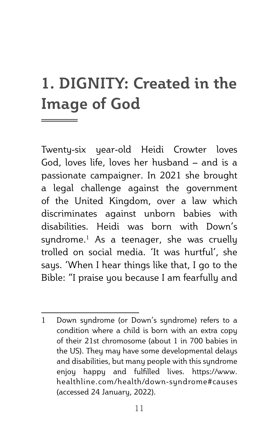# **1. DIGNITY: Created in the Image of God**

Twenty-six year-old Heidi Crowter loves God, loves life, loves her husband – and is a passionate campaigner. In 2021 she brought a legal challenge against the government of the United Kingdom, over a law which discriminates against unborn babies with disabilities. Heidi was born with Down's syndrome.1 As a teenager, she was cruelly trolled on social media. 'It was hurtful', she says. 'When I hear things like that, I go to the Bible: "I praise you because I am fearfully and

<sup>1</sup> Down syndrome (or Down's syndrome) refers to a condition where a child is born with an extra copy of their 21st chromosome (about 1 in 700 babies in the US). They may have some developmental delays and disabilities, but many people with this syndrome enjoy happy and fulfilled lives. https://www. healthline.com/health/down-syndrome#causes (accessed 24 January, 2022).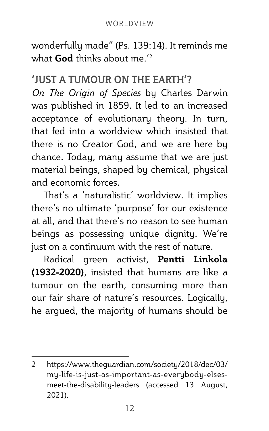wonderfully made" (Ps. 139:14). It reminds me what **God** thinks about me.'<sup>2</sup>

### **'JUST A TUMOUR ON THE EARTH'?**

*On The Origin of Species* by Charles Darwin was published in 1859. It led to an increased acceptance of evolutionary theory. In turn, that fed into a worldview which insisted that there is no Creator God, and we are here by chance. Today, many assume that we are just material beings, shaped by chemical, physical and economic forces.

That's a 'naturalistic' worldview. It implies there's no ultimate 'purpose' for our existence at all, and that there's no reason to see human beings as possessing unique dignity. We're just on a continuum with the rest of nature.

Radical green activist, **Pentti Linkola (1932-2020)**, insisted that humans are like a tumour on the earth, consuming more than our fair share of nature's resources. Logically, he argued, the majority of humans should be

<sup>2</sup> https://www.theguardian.com/society/2018/dec/03/ my-life-is-just-as-important-as-everybody-elsesmeet-the-disability-leaders (accessed 13 August, 2021).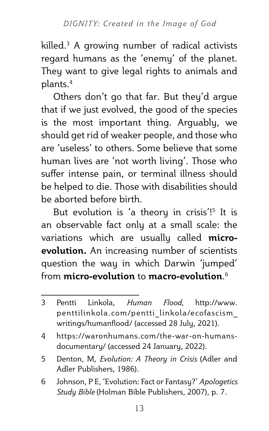killed.3 A growing number of radical activists regard humans as the 'enemy' of the planet. They want to give legal rights to animals and plants.4

Others don't go that far. But they'd argue that if we just evolved, the good of the species is the most important thing. Arguably, we should get rid of weaker people, and those who are 'useless' to others. Some believe that some human lives are 'not worth living'. Those who suffer intense pain, or terminal illness should be helped to die. Those with disabilities should be aborted before birth.

But evolution is 'a theory in crisis'!<sup>5</sup> It is an observable fact only at a small scale: the variations which are usually called **microevolution.** An increasing number of scientists question the way in which Darwin 'jumped' from **micro-evolution** to **macro-evolution**. 6

- 5 Denton, M, *Evolution: A Theory in Crisis* (Adler and Adler Publishers, 1986).
- 6 Johnson, P E, 'Evolution: Fact or Fantasy?' *Apologetics Study Bible* (Holman Bible Publishers, 2007), p. 7.

<sup>3</sup> Pentti Linkola, *Human Flood*, http://www. penttilinkola.com/pentti\_linkola/ecofascism\_ writings/humanflood/ (accessed 28 July, 2021).

<sup>4</sup> https://waronhumans.com/the-war-on-humansdocumentary/ (accessed 24 January, 2022).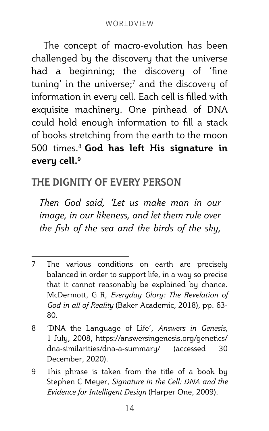The concept of macro-evolution has been challenged by the discovery that the universe had a beginning; the discovery of 'fine tuning' in the universe; $^7$  and the discovery of information in every cell. Each cell is filled with exquisite machinery. One pinhead of DNA could hold enough information to fill a stack of books stretching from the earth to the moon 500 times.8 **God has left His signature in every cell.9**

# **THE DIGNITY OF EVERY PERSON**

*Then God said, 'Let us make man in our image, in our likeness, and let them rule over the fish of the sea and the birds of the sky,* 

<sup>7</sup> The various conditions on earth are precisely balanced in order to support life, in a way so precise that it cannot reasonably be explained by chance. McDermott, G R, *Everyday Glory: The Revelation of God in all of Reality* (Baker Academic, 2018), pp. 63- 80.

<sup>8</sup> 'DNA the Language of Life', *Answers in Genesis*, 1 July, 2008, https://answersingenesis.org/genetics/ dna-similarities/dna-a-summary/ (accessed 30 December, 2020).

<sup>9</sup> This phrase is taken from the title of a book by Stephen C Meyer, *Signature in the Cell: DNA and the Evidence for Intelligent Design* (Harper One, 2009).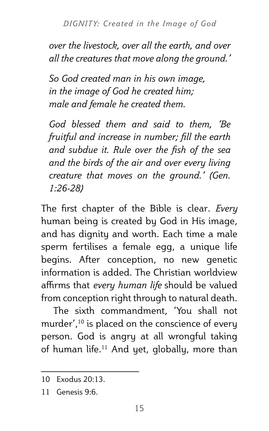*over the livestock, over all the earth, and over all the creatures that move along the ground.'*

*So God created man in his own image, in the image of God he created him; male and female he created them.*

*God blessed them and said to them, 'Be fruitful and increase in number; fill the earth and subdue it. Rule over the fish of the sea and the birds of the air and over every living creature that moves on the ground.' (Gen. 1:26-28)*

The first chapter of the Bible is clear. *Every* human being is created by God in His image, and has dignity and worth. Each time a male sperm fertilises a female egg, a unique life begins. After conception, no new genetic information is added. The Christian worldview affirms that *every human life* should be valued from conception right through to natural death.

The sixth commandment, 'You shall not murder',<sup>10</sup> is placed on the conscience of every person. God is angry at all wrongful taking of human life.<sup>11</sup> And yet, globally, more than

<sup>10</sup> Exodus 20:13.

 $11$  Genesis  $9.6$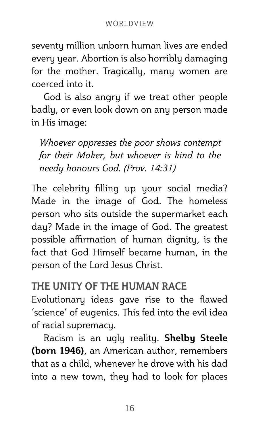seventy million unborn human lives are ended every year. Abortion is also horribly damaging for the mother. Tragically, many women are coerced into it.

God is also angry if we treat other people badly, or even look down on any person made in His image:

*Whoever oppresses the poor shows contempt for their Maker, but whoever is kind to the needy honours God. (Prov. 14:31)* 

The celebrity filling up your social media? Made in the image of God. The homeless person who sits outside the supermarket each day? Made in the image of God. The greatest possible affirmation of human dignity, is the fact that God Himself became human, in the person of the Lord Jesus Christ.

## **THE UNITY OF THE HUMAN RACE**

Evolutionary ideas gave rise to the flawed 'science' of eugenics. This fed into the evil idea of racial supremacy.

Racism is an ugly reality. **Shelby Steele (born 1946)**, an American author, remembers that as a child, whenever he drove with his dad into a new town, they had to look for places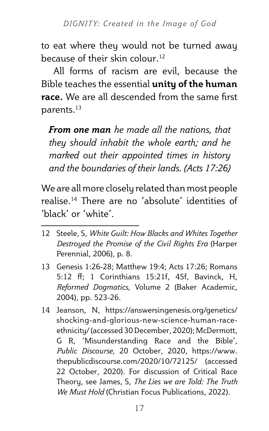to eat where they would not be turned away because of their skin colour.<sup>12</sup>

All forms of racism are evil, because the Bible teaches the essential **unity of the human race.** We are all descended from the same first parents.13

*From one man he made all the nations, that they should inhabit the whole earth; and he marked out their appointed times in history and the boundaries of their lands. (Acts 17:26)*

We are all more closely related than most people realise.14 There are no 'absolute' identities of 'black' or 'white'.

- 12 Steele, S, *White Guilt: How Blacks and Whites Together Destroyed the Promise of the Civil Rights Era* (Harper Perennial, 2006), p. 8.
- 13 Genesis 1:26-28; Matthew 19:4; Acts 17:26; Romans 5:12 ff; 1 Corinthians 15:21f, 45f, Bavinck, H, *Reformed Dogmatics*, Volume 2 (Baker Academic, 2004), pp. 523-26.
- 14 Jeanson, N, https://answersingenesis.org/genetics/ shocking-and-glorious-new-science-human-raceethnicity/ (accessed 30 December, 2020); McDermott, G R, 'Misunderstanding Race and the Bible', *Public Discourse*, 20 October, 2020, https://www. thepublicdiscourse.com/2020/10/72125/ (accessed 22 October, 2020). For discussion of Critical Race Theory, see James, S, *The Lies we are Told: The Truth We Must Hold* (Christian Focus Publications, 2022).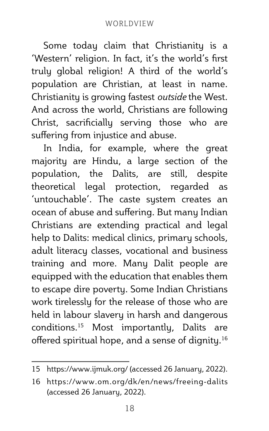Some today claim that Christianity is a 'Western' religion. In fact, it's the world's first truly global religion! A third of the world's population are Christian, at least in name. Christianity is growing fastest *outside* the West. And across the world, Christians are following Christ, sacrificially serving those who are suffering from injustice and abuse.

In India, for example, where the great majority are Hindu, a large section of the population, the Dalits, are still, despite theoretical legal protection, regarded as 'untouchable'. The caste system creates an ocean of abuse and suffering. But many Indian Christians are extending practical and legal help to Dalits: medical clinics, primary schools, adult literacy classes, vocational and business training and more. Many Dalit people are equipped with the education that enables them to escape dire poverty. Some Indian Christians work tirelessly for the release of those who are held in labour slavery in harsh and dangerous conditions.15 Most importantly, Dalits are offered spiritual hope, and a sense of dignity.<sup>16</sup>

<sup>15</sup> https://www.ijmuk.org/ (accessed 26 January, 2022).

<sup>16</sup> https://www.om.org/dk/en/news/freeing-dalits (accessed 26 January, 2022).